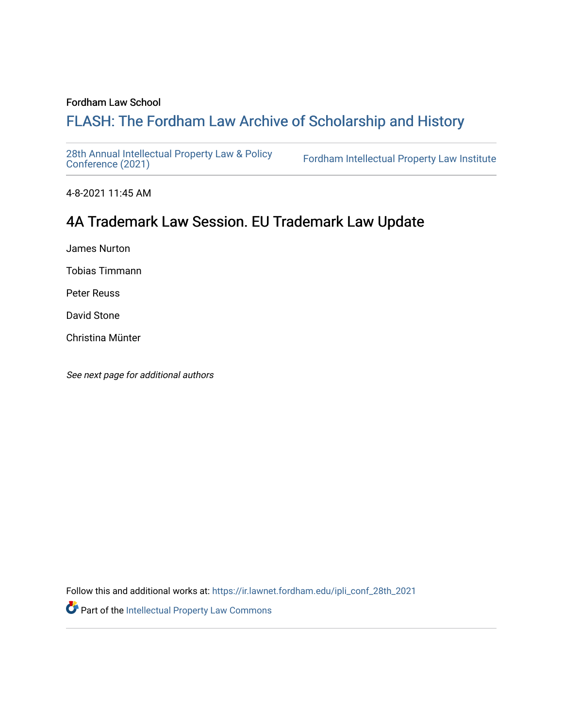### Fordham Law School

## FLASH: The For[dham Law Archive of Scholarship and Hist](https://ir.lawnet.fordham.edu/)ory

[28th Annual Intellectual Property Law & Policy](https://ir.lawnet.fordham.edu/ipli_conf_28th_2021)<br>Conference (2021)

Fordham Intellectual Property Law Institute

4-8-2021 11:45 AM

# 4A Trademark Law Session. EU Trademark Law Update

James Nurton

Tobias Timmann

Peter Reuss

David Stone

Christina Münter

See next page for additional authors

Follow this and additional works at: [https://ir.lawnet.fordham.edu/ipli\\_conf\\_28th\\_2021](https://ir.lawnet.fordham.edu/ipli_conf_28th_2021?utm_source=ir.lawnet.fordham.edu%2Fipli_conf_28th_2021%2F10&utm_medium=PDF&utm_campaign=PDFCoverPages) 

Part of the [Intellectual Property Law Commons](http://network.bepress.com/hgg/discipline/896?utm_source=ir.lawnet.fordham.edu%2Fipli_conf_28th_2021%2F10&utm_medium=PDF&utm_campaign=PDFCoverPages)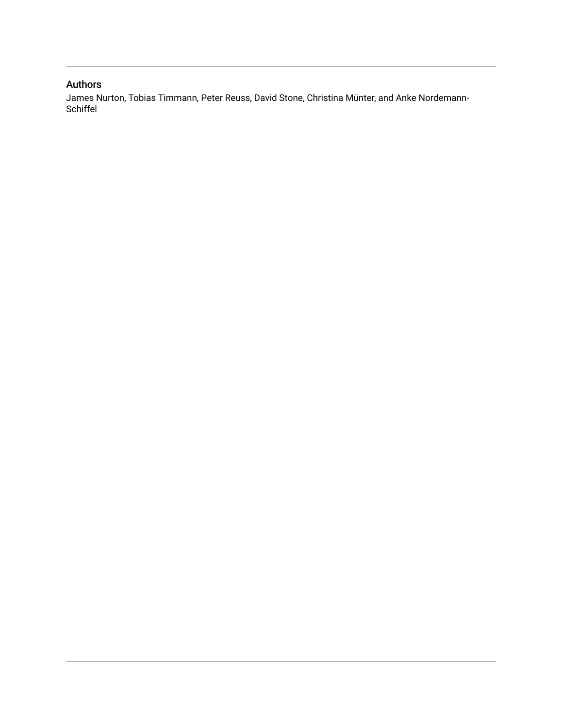## Authors

James Nurton, Tobias Timmann, Peter Reuss, David Stone, Christina Münter, and Anke Nordemann-Schiffel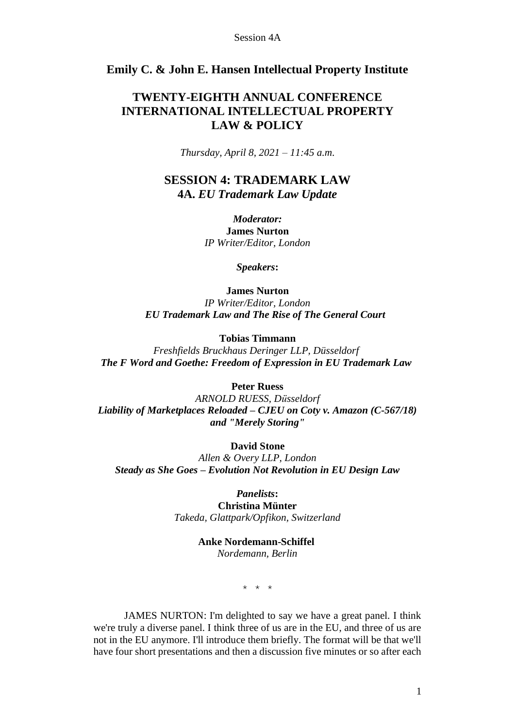## **Emily C. & John E. Hansen Intellectual Property Institute**

## **TWENTY-EIGHTH ANNUAL CONFERENCE INTERNATIONAL INTELLECTUAL PROPERTY LAW & POLICY**

*Thursday, April 8, 2021 – 11:45 a.m.*

**SESSION 4: TRADEMARK LAW 4A.** *EU Trademark Law Update*

> *Moderator:* **James Nurton** *IP Writer/Editor, London*

> > *Speakers***:**

**James Nurton** *IP Writer/Editor, London EU Trademark Law and The Rise of The General Court*

**Tobias Timmann**

*Freshfields Bruckhaus Deringer LLP, Düsseldorf The F Word and Goethe: Freedom of Expression in EU Trademark Law*

**Peter Ruess**

*ARNOLD RUESS, Düsseldorf Liability of Marketplaces Reloaded – CJEU on Coty v. Amazon (C-567/18) and "Merely Storing"*

**David Stone**

*Allen & Overy LLP, London Steady as She Goes – Evolution Not Revolution in EU Design Law*

*Panelists***:**

**Christina Münter** *Takeda, Glattpark/Opfikon, Switzerland*

> **Anke Nordemann-Schiffel** *Nordemann, Berlin*

> > \* \* \*

JAMES NURTON: I'm delighted to say we have a great panel. I think we're truly a diverse panel. I think three of us are in the EU, and three of us are not in the EU anymore. I'll introduce them briefly. The format will be that we'll have four short presentations and then a discussion five minutes or so after each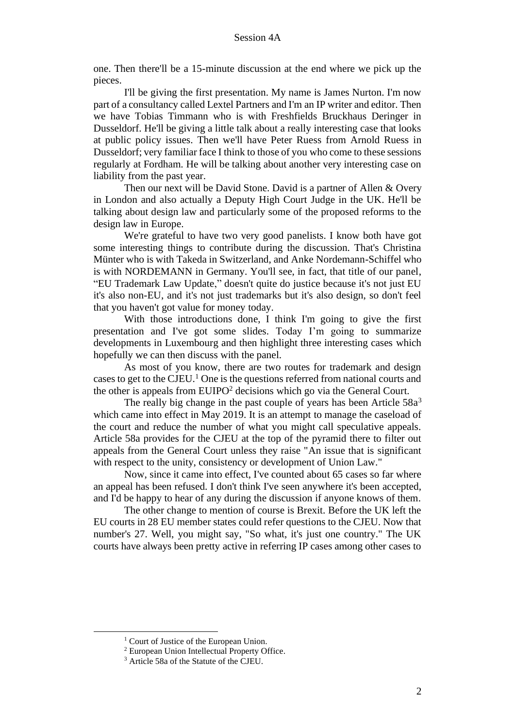one. Then there'll be a 15-minute discussion at the end where we pick up the pieces.

I'll be giving the first presentation. My name is James Nurton. I'm now part of a consultancy called Lextel Partners and I'm an IP writer and editor. Then we have Tobias Timmann who is with Freshfields Bruckhaus Deringer in Dusseldorf. He'll be giving a little talk about a really interesting case that looks at public policy issues. Then we'll have Peter Ruess from Arnold Ruess in Dusseldorf; very familiar face I think to those of you who come to these sessions regularly at Fordham. He will be talking about another very interesting case on liability from the past year.

Then our next will be David Stone. David is a partner of Allen & Overy in London and also actually a Deputy High Court Judge in the UK. He'll be talking about design law and particularly some of the proposed reforms to the design law in Europe.

We're grateful to have two very good panelists. I know both have got some interesting things to contribute during the discussion. That's Christina Münter who is with Takeda in Switzerland, and Anke Nordemann-Schiffel who is with NORDEMANN in Germany. You'll see, in fact, that title of our panel, "EU Trademark Law Update," doesn't quite do justice because it's not just EU it's also non-EU, and it's not just trademarks but it's also design, so don't feel that you haven't got value for money today.

With those introductions done, I think I'm going to give the first presentation and I've got some slides. Today I'm going to summarize developments in Luxembourg and then highlight three interesting cases which hopefully we can then discuss with the panel.

As most of you know, there are two routes for trademark and design cases to get to the CJEU.<sup>1</sup> One is the questions referred from national courts and the other is appeals from  $EUIPO<sup>2</sup>$  decisions which go via the General Court.

The really big change in the past couple of years has been Article 58a<sup>3</sup> which came into effect in May 2019. It is an attempt to manage the caseload of the court and reduce the number of what you might call speculative appeals. Article 58a provides for the CJEU at the top of the pyramid there to filter out appeals from the General Court unless they raise "An issue that is significant with respect to the unity, consistency or development of Union Law."

Now, since it came into effect, I've counted about 65 cases so far where an appeal has been refused. I don't think I've seen anywhere it's been accepted, and I'd be happy to hear of any during the discussion if anyone knows of them.

The other change to mention of course is Brexit. Before the UK left the EU courts in 28 EU member states could refer questions to the CJEU. Now that number's 27. Well, you might say, "So what, it's just one country." The UK courts have always been pretty active in referring IP cases among other cases to

<sup>&</sup>lt;sup>1</sup> Court of Justice of the European Union.

<sup>2</sup> European Union Intellectual Property Office.

<sup>3</sup> Article 58a of the Statute of the CJEU.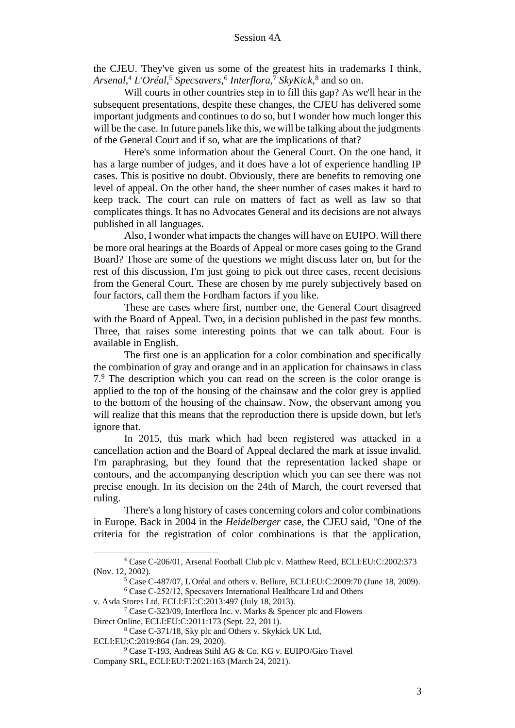the CJEU. They've given us some of the greatest hits in trademarks I think, *Arsenal*, <sup>4</sup> *L'Oréal*, <sup>5</sup> *Specsavers*, 6 *Interflora*, <sup>7</sup> *SkyKick*, 8 and so on.

Will courts in other countries step in to fill this gap? As we'll hear in the subsequent presentations, despite these changes, the CJEU has delivered some important judgments and continues to do so, but I wonder how much longer this will be the case. In future panels like this, we will be talking about the judgments of the General Court and if so, what are the implications of that?

Here's some information about the General Court. On the one hand, it has a large number of judges, and it does have a lot of experience handling IP cases. This is positive no doubt. Obviously, there are benefits to removing one level of appeal. On the other hand, the sheer number of cases makes it hard to keep track. The court can rule on matters of fact as well as law so that complicates things. It has no Advocates General and its decisions are not always published in all languages.

Also, I wonder what impacts the changes will have on EUIPO. Will there be more oral hearings at the Boards of Appeal or more cases going to the Grand Board? Those are some of the questions we might discuss later on, but for the rest of this discussion, I'm just going to pick out three cases, recent decisions from the General Court. These are chosen by me purely subjectively based on four factors, call them the Fordham factors if you like.

These are cases where first, number one, the General Court disagreed with the Board of Appeal. Two, in a decision published in the past few months. Three, that raises some interesting points that we can talk about. Four is available in English.

The first one is an application for a color combination and specifically the combination of gray and orange and in an application for chainsaws in class 7.<sup>9</sup> The description which you can read on the screen is the color orange is applied to the top of the housing of the chainsaw and the color grey is applied to the bottom of the housing of the chainsaw. Now, the observant among you will realize that this means that the reproduction there is upside down, but let's ignore that.

In 2015, this mark which had been registered was attacked in a cancellation action and the Board of Appeal declared the mark at issue invalid. I'm paraphrasing, but they found that the representation lacked shape or contours, and the accompanying description which you can see there was not precise enough. In its decision on the 24th of March, the court reversed that ruling.

There's a long history of cases concerning colors and color combinations in Europe. Back in 2004 in the *Heidelberger* case, the CJEU said, "One of the criteria for the registration of color combinations is that the application,

<sup>4</sup> Case C-206/01, Arsenal Football Club plc v. Matthew Reed, ECLI:EU:C:2002:373 (Nov. 12, 2002).

<sup>5</sup> Case C-487/07, L'Oréal and others v. Bellure, ECLI:EU:C:2009:70 (June 18, 2009).

<sup>6</sup> Case C‑252/12, Specsavers International Healthcare Ltd and Others v. Asda Stores Ltd, ECLI:EU:C:2013:497 (July 18, 2013).

<sup>7</sup> Case C-323/09, Interflora Inc. v. Marks & Spencer plc and Flowers Direct Online, ECLI:EU:C:2011:173 (Sept. 22, 2011).

<sup>8</sup> Case C-371/18, Sky plc and Others v. Skykick UK Ltd, ECLI:EU:C:2019:864 (Jan. 29, 2020).

<sup>9</sup> Case T-193, Andreas Stihl AG & Co. KG v. EUIPO/Giro Travel Company SRL, ECLI:EU:T:2021:163 (March 24, 2021).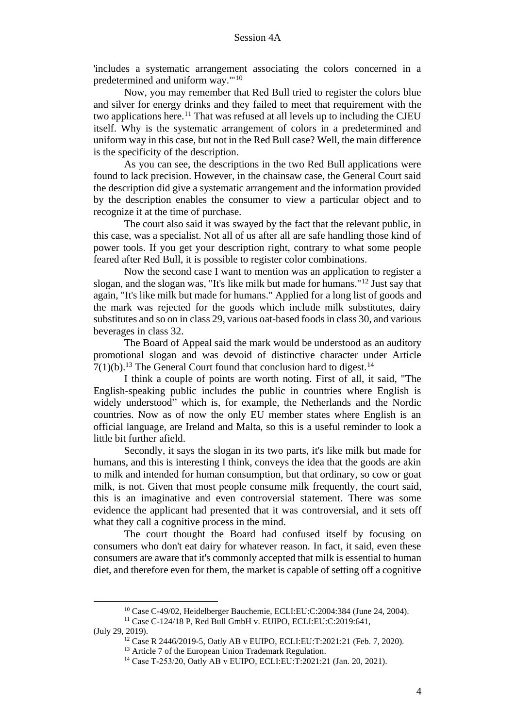'includes a systematic arrangement associating the colors concerned in a predetermined and uniform way.'"<sup>10</sup>

Now, you may remember that Red Bull tried to register the colors blue and silver for energy drinks and they failed to meet that requirement with the two applications here.<sup>11</sup> That was refused at all levels up to including the CJEU itself. Why is the systematic arrangement of colors in a predetermined and uniform way in this case, but not in the Red Bull case? Well, the main difference is the specificity of the description.

As you can see, the descriptions in the two Red Bull applications were found to lack precision. However, in the chainsaw case, the General Court said the description did give a systematic arrangement and the information provided by the description enables the consumer to view a particular object and to recognize it at the time of purchase.

The court also said it was swayed by the fact that the relevant public, in this case, was a specialist. Not all of us after all are safe handling those kind of power tools. If you get your description right, contrary to what some people feared after Red Bull, it is possible to register color combinations.

Now the second case I want to mention was an application to register a slogan, and the slogan was, "It's like milk but made for humans."<sup>12</sup> Just say that again, "It's like milk but made for humans." Applied for a long list of goods and the mark was rejected for the goods which include milk substitutes, dairy substitutes and so on in class 29, various oat-based foods in class 30, and various beverages in class 32.

The Board of Appeal said the mark would be understood as an auditory promotional slogan and was devoid of distinctive character under Article  $7(1)(b)$ .<sup>13</sup> The General Court found that conclusion hard to digest.<sup>14</sup>

I think a couple of points are worth noting. First of all, it said, "The English-speaking public includes the public in countries where English is widely understood" which is, for example, the Netherlands and the Nordic countries. Now as of now the only EU member states where English is an official language, are Ireland and Malta, so this is a useful reminder to look a little bit further afield.

Secondly, it says the slogan in its two parts, it's like milk but made for humans, and this is interesting I think, conveys the idea that the goods are akin to milk and intended for human consumption, but that ordinary, so cow or goat milk, is not. Given that most people consume milk frequently, the court said, this is an imaginative and even controversial statement. There was some evidence the applicant had presented that it was controversial, and it sets off what they call a cognitive process in the mind.

The court thought the Board had confused itself by focusing on consumers who don't eat dairy for whatever reason. In fact, it said, even these consumers are aware that it's commonly accepted that milk is essential to human diet, and therefore even for them, the market is capable of setting off a cognitive

<sup>10</sup> Case C-49/02, Heidelberger Bauchemie, ECLI:EU:C:2004:384 (June 24, 2004).

<sup>11</sup> Case C-124/18 P, Red Bull GmbH v. EUIPO, ECLI:EU:C:2019:641, (July 29, 2019).

<sup>12</sup> Case R 2446/2019-5, Oatly AB v EUIPO, ECLI:EU:T:2021:21 (Feb. 7, 2020).

<sup>&</sup>lt;sup>13</sup> Article 7 of the European Union Trademark Regulation.

<sup>14</sup> Case T‑253/20, Oatly AB v EUIPO, ECLI:EU:T:2021:21 (Jan. 20, 2021).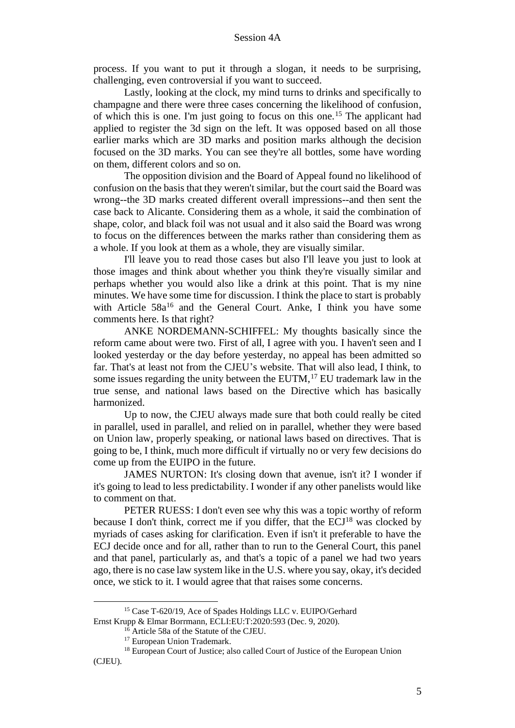process. If you want to put it through a slogan, it needs to be surprising, challenging, even controversial if you want to succeed.

Lastly, looking at the clock, my mind turns to drinks and specifically to champagne and there were three cases concerning the likelihood of confusion, of which this is one. I'm just going to focus on this one.<sup>15</sup> The applicant had applied to register the 3d sign on the left. It was opposed based on all those earlier marks which are 3D marks and position marks although the decision focused on the 3D marks. You can see they're all bottles, some have wording on them, different colors and so on.

The opposition division and the Board of Appeal found no likelihood of confusion on the basis that they weren't similar, but the court said the Board was wrong--the 3D marks created different overall impressions--and then sent the case back to Alicante. Considering them as a whole, it said the combination of shape, color, and black foil was not usual and it also said the Board was wrong to focus on the differences between the marks rather than considering them as a whole. If you look at them as a whole, they are visually similar.

I'll leave you to read those cases but also I'll leave you just to look at those images and think about whether you think they're visually similar and perhaps whether you would also like a drink at this point. That is my nine minutes. We have some time for discussion. I think the place to start is probably with Article 58a<sup>16</sup> and the General Court. Anke, I think you have some comments here. Is that right?

ANKE NORDEMANN-SCHIFFEL: My thoughts basically since the reform came about were two. First of all, I agree with you. I haven't seen and I looked yesterday or the day before yesterday, no appeal has been admitted so far. That's at least not from the CJEU's website. That will also lead, I think, to some issues regarding the unity between the EUTM, $17$  EU trademark law in the true sense, and national laws based on the Directive which has basically harmonized.

Up to now, the CJEU always made sure that both could really be cited in parallel, used in parallel, and relied on in parallel, whether they were based on Union law, properly speaking, or national laws based on directives. That is going to be, I think, much more difficult if virtually no or very few decisions do come up from the EUIPO in the future.

JAMES NURTON: It's closing down that avenue, isn't it? I wonder if it's going to lead to less predictability. I wonder if any other panelists would like to comment on that.

PETER RUESS: I don't even see why this was a topic worthy of reform because I don't think, correct me if you differ, that the ECJ<sup>18</sup> was clocked by myriads of cases asking for clarification. Even if isn't it preferable to have the ECJ decide once and for all, rather than to run to the General Court, this panel and that panel, particularly as, and that's a topic of a panel we had two years ago, there is no case law system like in the U.S. where you say, okay, it's decided once, we stick to it. I would agree that that raises some concerns.

<sup>&</sup>lt;sup>15</sup> Case T-620/19, Ace of Spades Holdings LLC v. EUIPO/Gerhard Ernst Krupp & Elmar Borrmann, ECLI:EU:T:2020:593 (Dec. 9, 2020).

<sup>16</sup> Article 58a of the Statute of the CJEU.

<sup>&</sup>lt;sup>17</sup> European Union Trademark.

<sup>&</sup>lt;sup>18</sup> European Court of Justice; also called Court of Justice of the European Union (CJEU).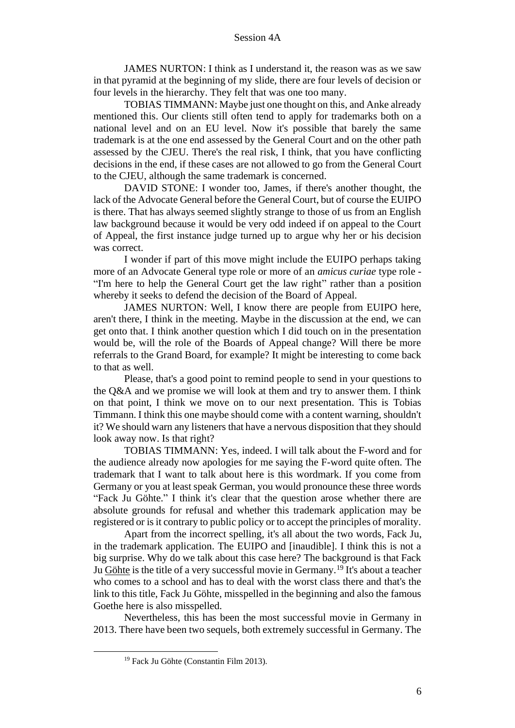JAMES NURTON: I think as I understand it, the reason was as we saw in that pyramid at the beginning of my slide, there are four levels of decision or four levels in the hierarchy. They felt that was one too many.

TOBIAS TIMMANN: Maybe just one thought on this, and Anke already mentioned this. Our clients still often tend to apply for trademarks both on a national level and on an EU level. Now it's possible that barely the same trademark is at the one end assessed by the General Court and on the other path assessed by the CJEU. There's the real risk, I think, that you have conflicting decisions in the end, if these cases are not allowed to go from the General Court to the CJEU, although the same trademark is concerned.

DAVID STONE: I wonder too, James, if there's another thought, the lack of the Advocate General before the General Court, but of course the EUIPO is there. That has always seemed slightly strange to those of us from an English law background because it would be very odd indeed if on appeal to the Court of Appeal, the first instance judge turned up to argue why her or his decision was correct.

I wonder if part of this move might include the EUIPO perhaps taking more of an Advocate General type role or more of an *amicus curiae* type role - "I'm here to help the General Court get the law right" rather than a position whereby it seeks to defend the decision of the Board of Appeal.

JAMES NURTON: Well, I know there are people from EUIPO here, aren't there, I think in the meeting. Maybe in the discussion at the end, we can get onto that. I think another question which I did touch on in the presentation would be, will the role of the Boards of Appeal change? Will there be more referrals to the Grand Board, for example? It might be interesting to come back to that as well.

Please, that's a good point to remind people to send in your questions to the Q&A and we promise we will look at them and try to answer them. I think on that point, I think we move on to our next presentation. This is Tobias Timmann. I think this one maybe should come with a content warning, shouldn't it? We should warn any listeners that have a nervous disposition that they should look away now. Is that right?

TOBIAS TIMMANN: Yes, indeed. I will talk about the F-word and for the audience already now apologies for me saying the F-word quite often. The trademark that I want to talk about here is this wordmark. If you come from Germany or you at least speak German, you would pronounce these three words "Fack Ju Göhte." I think it's clear that the question arose whether there are absolute grounds for refusal and whether this trademark application may be registered or is it contrary to public policy or to accept the principles of morality.

Apart from the incorrect spelling, it's all about the two words, Fack Ju, in the trademark application. The EUIPO and [inaudible]. I think this is not a big surprise. Why do we talk about this case here? The background is that Fack Ju Göhte is the title of a very successful movie in Germany.<sup>19</sup> It's about a teacher who comes to a school and has to deal with the worst class there and that's the link to this title, Fack Ju Göhte, misspelled in the beginning and also the famous Goethe here is also misspelled.

Nevertheless, this has been the most successful movie in Germany in 2013. There have been two sequels, both extremely successful in Germany. The

<sup>&</sup>lt;sup>19</sup> Fack Ju Göhte (Constantin Film 2013).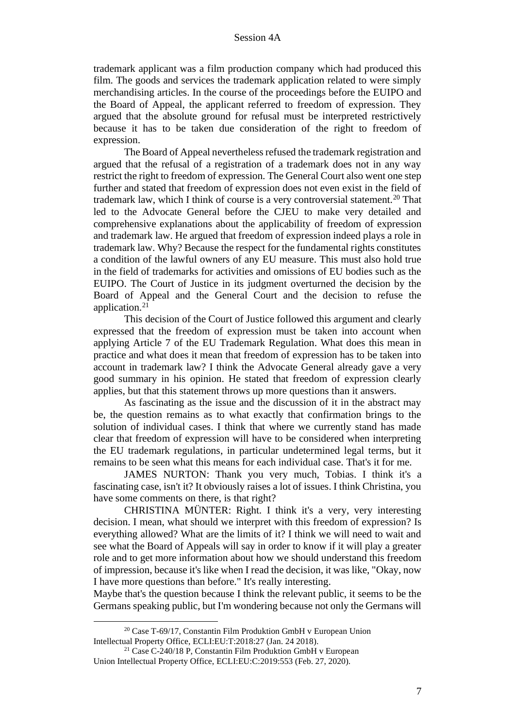trademark applicant was a film production company which had produced this film. The goods and services the trademark application related to were simply merchandising articles. In the course of the proceedings before the EUIPO and the Board of Appeal, the applicant referred to freedom of expression. They argued that the absolute ground for refusal must be interpreted restrictively because it has to be taken due consideration of the right to freedom of expression.

The Board of Appeal nevertheless refused the trademark registration and argued that the refusal of a registration of a trademark does not in any way restrict the right to freedom of expression. The General Court also went one step further and stated that freedom of expression does not even exist in the field of trademark law, which I think of course is a very controversial statement.<sup>20</sup> That led to the Advocate General before the CJEU to make very detailed and comprehensive explanations about the applicability of freedom of expression and trademark law. He argued that freedom of expression indeed plays a role in trademark law. Why? Because the respect for the fundamental rights constitutes a condition of the lawful owners of any EU measure. This must also hold true in the field of trademarks for activities and omissions of EU bodies such as the EUIPO. The Court of Justice in its judgment overturned the decision by the Board of Appeal and the General Court and the decision to refuse the application.<sup>21</sup>

This decision of the Court of Justice followed this argument and clearly expressed that the freedom of expression must be taken into account when applying Article 7 of the EU Trademark Regulation. What does this mean in practice and what does it mean that freedom of expression has to be taken into account in trademark law? I think the Advocate General already gave a very good summary in his opinion. He stated that freedom of expression clearly applies, but that this statement throws up more questions than it answers.

As fascinating as the issue and the discussion of it in the abstract may be, the question remains as to what exactly that confirmation brings to the solution of individual cases. I think that where we currently stand has made clear that freedom of expression will have to be considered when interpreting the EU trademark regulations, in particular undetermined legal terms, but it remains to be seen what this means for each individual case. That's it for me.

JAMES NURTON: Thank you very much, Tobias. I think it's a fascinating case, isn't it? It obviously raises a lot of issues. I think Christina, you have some comments on there, is that right?

CHRISTINA MÜNTER: Right. I think it's a very, very interesting decision. I mean, what should we interpret with this freedom of expression? Is everything allowed? What are the limits of it? I think we will need to wait and see what the Board of Appeals will say in order to know if it will play a greater role and to get more information about how we should understand this freedom of impression, because it's like when I read the decision, it was like, "Okay, now I have more questions than before." It's really interesting.

Maybe that's the question because I think the relevant public, it seems to be the Germans speaking public, but I'm wondering because not only the Germans will

<sup>&</sup>lt;sup>20</sup> Case T-69/17, Constantin Film Produktion GmbH v European Union Intellectual Property Office, ECLI:EU:T:2018:27 (Jan. 24 2018).

<sup>21</sup> Case C-240/18 P, Constantin Film Produktion GmbH v European Union Intellectual Property Office, ECLI:EU:C:2019:553 (Feb. 27, 2020).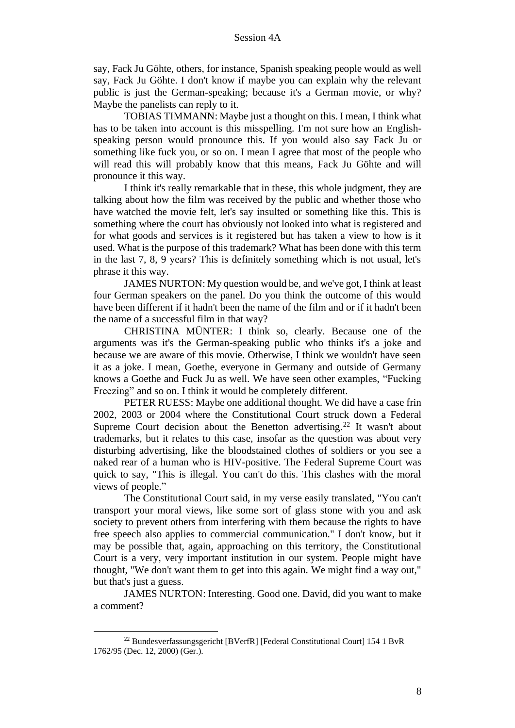say, Fack Ju Göhte, others, for instance, Spanish speaking people would as well say, Fack Ju Göhte. I don't know if maybe you can explain why the relevant public is just the German-speaking; because it's a German movie, or why? Maybe the panelists can reply to it.

TOBIAS TIMMANN: Maybe just a thought on this. I mean, I think what has to be taken into account is this misspelling. I'm not sure how an Englishspeaking person would pronounce this. If you would also say Fack Ju or something like fuck you, or so on. I mean I agree that most of the people who will read this will probably know that this means, Fack Ju Göhte and will pronounce it this way.

I think it's really remarkable that in these, this whole judgment, they are talking about how the film was received by the public and whether those who have watched the movie felt, let's say insulted or something like this. This is something where the court has obviously not looked into what is registered and for what goods and services is it registered but has taken a view to how is it used. What is the purpose of this trademark? What has been done with this term in the last 7, 8, 9 years? This is definitely something which is not usual, let's phrase it this way.

JAMES NURTON: My question would be, and we've got, I think at least four German speakers on the panel. Do you think the outcome of this would have been different if it hadn't been the name of the film and or if it hadn't been the name of a successful film in that way?

CHRISTINA MÜNTER: I think so, clearly. Because one of the arguments was it's the German-speaking public who thinks it's a joke and because we are aware of this movie. Otherwise, I think we wouldn't have seen it as a joke. I mean, Goethe, everyone in Germany and outside of Germany knows a Goethe and Fuck Ju as well. We have seen other examples, "Fucking Freezing" and so on. I think it would be completely different.

PETER RUESS: Maybe one additional thought. We did have a case frin 2002, 2003 or 2004 where the Constitutional Court struck down a Federal Supreme Court decision about the Benetton advertising.<sup>22</sup> It wasn't about trademarks, but it relates to this case, insofar as the question was about very disturbing advertising, like the bloodstained clothes of soldiers or you see a naked rear of a human who is HIV-positive. The Federal Supreme Court was quick to say, "This is illegal. You can't do this. This clashes with the moral views of people."

The Constitutional Court said, in my verse easily translated, "You can't transport your moral views, like some sort of glass stone with you and ask society to prevent others from interfering with them because the rights to have free speech also applies to commercial communication." I don't know, but it may be possible that, again, approaching on this territory, the Constitutional Court is a very, very important institution in our system. People might have thought, "We don't want them to get into this again. We might find a way out," but that's just a guess.

JAMES NURTON: Interesting. Good one. David, did you want to make a comment?

<sup>22</sup> Bundesverfassungsgericht [BVerfR] [Federal Constitutional Court] 154 1 BvR 1762/95 (Dec. 12, 2000) (Ger.).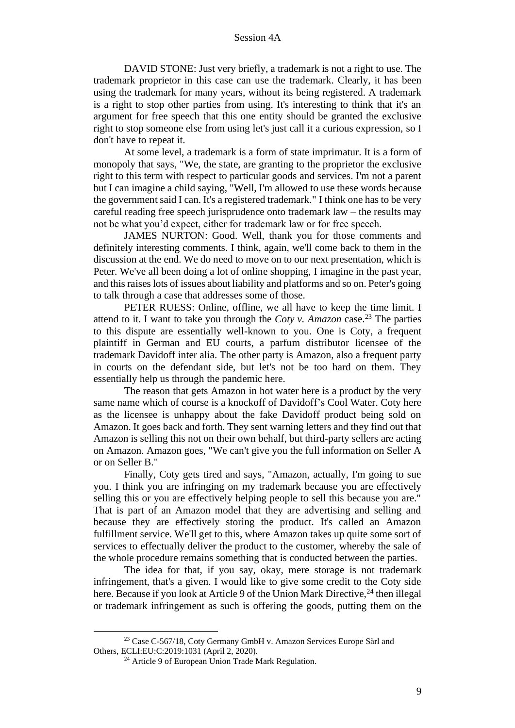DAVID STONE: Just very briefly, a trademark is not a right to use. The trademark proprietor in this case can use the trademark. Clearly, it has been using the trademark for many years, without its being registered. A trademark is a right to stop other parties from using. It's interesting to think that it's an argument for free speech that this one entity should be granted the exclusive right to stop someone else from using let's just call it a curious expression, so I don't have to repeat it.

At some level, a trademark is a form of state imprimatur. It is a form of monopoly that says, "We, the state, are granting to the proprietor the exclusive right to this term with respect to particular goods and services. I'm not a parent but I can imagine a child saying, "Well, I'm allowed to use these words because the government said I can. It's a registered trademark." I think one has to be very careful reading free speech jurisprudence onto trademark  $law - the$  results may not be what you'd expect, either for trademark law or for free speech.

JAMES NURTON: Good. Well, thank you for those comments and definitely interesting comments. I think, again, we'll come back to them in the discussion at the end. We do need to move on to our next presentation, which is Peter. We've all been doing a lot of online shopping, I imagine in the past year, and this raises lots of issues about liability and platforms and so on. Peter's going to talk through a case that addresses some of those.

PETER RUESS: Online, offline, we all have to keep the time limit. I attend to it. I want to take you through the *Coty v. Amazon* case.<sup>23</sup> The parties to this dispute are essentially well-known to you. One is Coty, a frequent plaintiff in German and EU courts, a parfum distributor licensee of the trademark Davidoff inter alia. The other party is Amazon, also a frequent party in courts on the defendant side, but let's not be too hard on them. They essentially help us through the pandemic here.

The reason that gets Amazon in hot water here is a product by the very same name which of course is a knockoff of Davidoff's Cool Water. Coty here as the licensee is unhappy about the fake Davidoff product being sold on Amazon. It goes back and forth. They sent warning letters and they find out that Amazon is selling this not on their own behalf, but third-party sellers are acting on Amazon. Amazon goes, "We can't give you the full information on Seller A or on Seller B."

Finally, Coty gets tired and says, "Amazon, actually, I'm going to sue you. I think you are infringing on my trademark because you are effectively selling this or you are effectively helping people to sell this because you are." That is part of an Amazon model that they are advertising and selling and because they are effectively storing the product. It's called an Amazon fulfillment service. We'll get to this, where Amazon takes up quite some sort of services to effectually deliver the product to the customer, whereby the sale of the whole procedure remains something that is conducted between the parties.

The idea for that, if you say, okay, mere storage is not trademark infringement, that's a given. I would like to give some credit to the Coty side here. Because if you look at Article 9 of the Union Mark Directive,<sup>24</sup> then illegal or trademark infringement as such is offering the goods, putting them on the

<sup>&</sup>lt;sup>23</sup> Case C-567/18, Coty Germany GmbH v. Amazon Services Europe Sàrl and Others, ECLI:EU:C:2019:1031 (April 2, 2020).

<sup>&</sup>lt;sup>24</sup> Article 9 of European Union Trade Mark Regulation.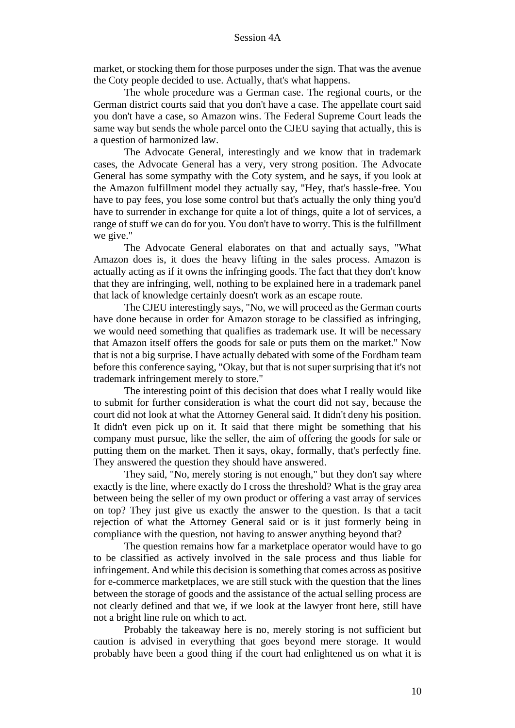market, or stocking them for those purposes under the sign. That was the avenue the Coty people decided to use. Actually, that's what happens.

The whole procedure was a German case. The regional courts, or the German district courts said that you don't have a case. The appellate court said you don't have a case, so Amazon wins. The Federal Supreme Court leads the same way but sends the whole parcel onto the CJEU saying that actually, this is a question of harmonized law.

The Advocate General, interestingly and we know that in trademark cases, the Advocate General has a very, very strong position. The Advocate General has some sympathy with the Coty system, and he says, if you look at the Amazon fulfillment model they actually say, "Hey, that's hassle-free. You have to pay fees, you lose some control but that's actually the only thing you'd have to surrender in exchange for quite a lot of things, quite a lot of services, a range of stuff we can do for you. You don't have to worry. This is the fulfillment we give."

The Advocate General elaborates on that and actually says, "What Amazon does is, it does the heavy lifting in the sales process. Amazon is actually acting as if it owns the infringing goods. The fact that they don't know that they are infringing, well, nothing to be explained here in a trademark panel that lack of knowledge certainly doesn't work as an escape route.

The CJEU interestingly says, "No, we will proceed as the German courts have done because in order for Amazon storage to be classified as infringing, we would need something that qualifies as trademark use. It will be necessary that Amazon itself offers the goods for sale or puts them on the market." Now that is not a big surprise. I have actually debated with some of the Fordham team before this conference saying, "Okay, but that is not super surprising that it's not trademark infringement merely to store."

The interesting point of this decision that does what I really would like to submit for further consideration is what the court did not say, because the court did not look at what the Attorney General said. It didn't deny his position. It didn't even pick up on it. It said that there might be something that his company must pursue, like the seller, the aim of offering the goods for sale or putting them on the market. Then it says, okay, formally, that's perfectly fine. They answered the question they should have answered.

They said, "No, merely storing is not enough," but they don't say where exactly is the line, where exactly do I cross the threshold? What is the gray area between being the seller of my own product or offering a vast array of services on top? They just give us exactly the answer to the question. Is that a tacit rejection of what the Attorney General said or is it just formerly being in compliance with the question, not having to answer anything beyond that?

The question remains how far a marketplace operator would have to go to be classified as actively involved in the sale process and thus liable for infringement. And while this decision is something that comes across as positive for e-commerce marketplaces, we are still stuck with the question that the lines between the storage of goods and the assistance of the actual selling process are not clearly defined and that we, if we look at the lawyer front here, still have not a bright line rule on which to act.

Probably the takeaway here is no, merely storing is not sufficient but caution is advised in everything that goes beyond mere storage. It would probably have been a good thing if the court had enlightened us on what it is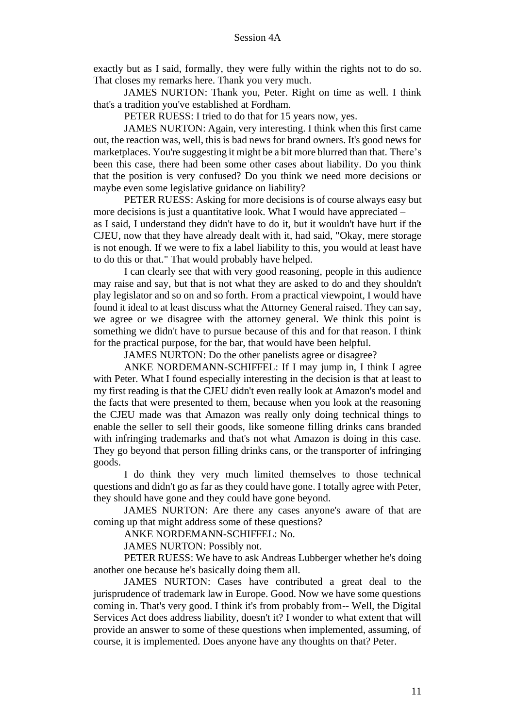exactly but as I said, formally, they were fully within the rights not to do so. That closes my remarks here. Thank you very much.

JAMES NURTON: Thank you, Peter. Right on time as well. I think that's a tradition you've established at Fordham.

PETER RUESS: I tried to do that for 15 years now, yes.

JAMES NURTON: Again, very interesting. I think when this first came out, the reaction was, well, this is bad news for brand owners. It's good news for marketplaces. You're suggesting it might be a bit more blurred than that. There's been this case, there had been some other cases about liability. Do you think that the position is very confused? Do you think we need more decisions or maybe even some legislative guidance on liability?

PETER RUESS: Asking for more decisions is of course always easy but more decisions is just a quantitative look. What I would have appreciated – as I said, I understand they didn't have to do it, but it wouldn't have hurt if the CJEU, now that they have already dealt with it, had said, "Okay, mere storage is not enough. If we were to fix a label liability to this, you would at least have to do this or that." That would probably have helped.

I can clearly see that with very good reasoning, people in this audience may raise and say, but that is not what they are asked to do and they shouldn't play legislator and so on and so forth. From a practical viewpoint, I would have found it ideal to at least discuss what the Attorney General raised. They can say, we agree or we disagree with the attorney general. We think this point is something we didn't have to pursue because of this and for that reason. I think for the practical purpose, for the bar, that would have been helpful.

JAMES NURTON: Do the other panelists agree or disagree?

ANKE NORDEMANN-SCHIFFEL: If I may jump in, I think I agree with Peter. What I found especially interesting in the decision is that at least to my first reading is that the CJEU didn't even really look at Amazon's model and the facts that were presented to them, because when you look at the reasoning the CJEU made was that Amazon was really only doing technical things to enable the seller to sell their goods, like someone filling drinks cans branded with infringing trademarks and that's not what Amazon is doing in this case. They go beyond that person filling drinks cans, or the transporter of infringing goods.

I do think they very much limited themselves to those technical questions and didn't go as far as they could have gone. I totally agree with Peter, they should have gone and they could have gone beyond.

JAMES NURTON: Are there any cases anyone's aware of that are coming up that might address some of these questions?

ANKE NORDEMANN-SCHIFFEL: No.

JAMES NURTON: Possibly not.

PETER RUESS: We have to ask Andreas Lubberger whether he's doing another one because he's basically doing them all.

JAMES NURTON: Cases have contributed a great deal to the jurisprudence of trademark law in Europe. Good. Now we have some questions coming in. That's very good. I think it's from probably from-- Well, the Digital Services Act does address liability, doesn't it? I wonder to what extent that will provide an answer to some of these questions when implemented, assuming, of course, it is implemented. Does anyone have any thoughts on that? Peter.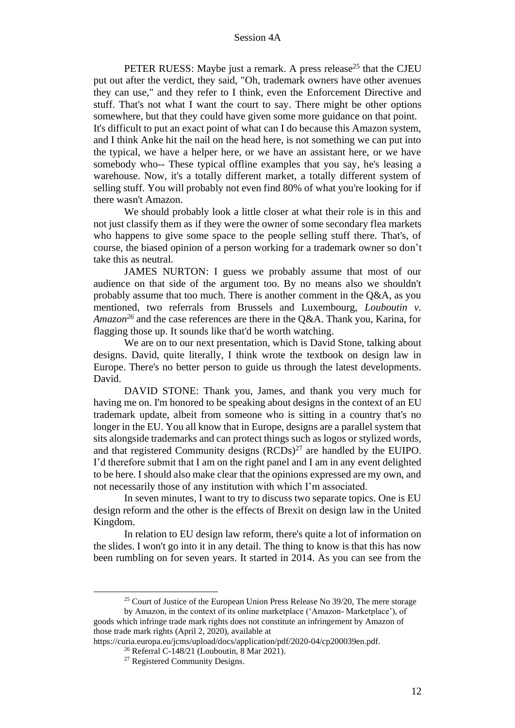PETER RUESS: Maybe just a remark. A press release<sup>25</sup> that the CJEU put out after the verdict, they said, "Oh, trademark owners have other avenues they can use," and they refer to I think, even the Enforcement Directive and stuff. That's not what I want the court to say. There might be other options somewhere, but that they could have given some more guidance on that point. It's difficult to put an exact point of what can I do because this Amazon system, and I think Anke hit the nail on the head here, is not something we can put into the typical, we have a helper here, or we have an assistant here, or we have somebody who-- These typical offline examples that you say, he's leasing a warehouse. Now, it's a totally different market, a totally different system of selling stuff. You will probably not even find 80% of what you're looking for if there wasn't Amazon.

We should probably look a little closer at what their role is in this and not just classify them as if they were the owner of some secondary flea markets who happens to give some space to the people selling stuff there. That's, of course, the biased opinion of a person working for a trademark owner so don't take this as neutral.

JAMES NURTON: I guess we probably assume that most of our audience on that side of the argument too. By no means also we shouldn't probably assume that too much. There is another comment in the Q&A, as you mentioned, two referrals from Brussels and Luxembourg, *Louboutin v. Amazon<sup>26</sup>* and the case references are there in the Q&A. Thank you, Karina, for flagging those up. It sounds like that'd be worth watching.

We are on to our next presentation, which is David Stone, talking about designs. David, quite literally, I think wrote the textbook on design law in Europe. There's no better person to guide us through the latest developments. David.

DAVID STONE: Thank you, James, and thank you very much for having me on. I'm honored to be speaking about designs in the context of an EU trademark update, albeit from someone who is sitting in a country that's no longer in the EU. You all know that in Europe, designs are a parallel system that sits alongside trademarks and can protect things such as logos or stylized words, and that registered Community designs  $(RCDs)^{27}$  are handled by the EUIPO. I'd therefore submit that I am on the right panel and I am in any event delighted to be here. I should also make clear that the opinions expressed are my own, and not necessarily those of any institution with which I'm associated.

In seven minutes, I want to try to discuss two separate topics. One is EU design reform and the other is the effects of Brexit on design law in the United Kingdom.

In relation to EU design law reform, there's quite a lot of information on the slides. I won't go into it in any detail. The thing to know is that this has now been rumbling on for seven years. It started in 2014. As you can see from the

<sup>&</sup>lt;sup>25</sup> Court of Justice of the European Union Press Release No 39/20, The mere storage

by Amazon, in the context of its online marketplace ('Amazon- Marketplace'), of goods which infringe trade mark rights does not constitute an infringement by Amazon of those trade mark rights (April 2, 2020), available at

https://curia.europa.eu/jcms/upload/docs/application/pdf/2020-04/cp200039en.pdf.

<sup>26</sup> Referral C-148/21 (Louboutin, 8 Mar 2021).

<sup>27</sup> Registered Community Designs.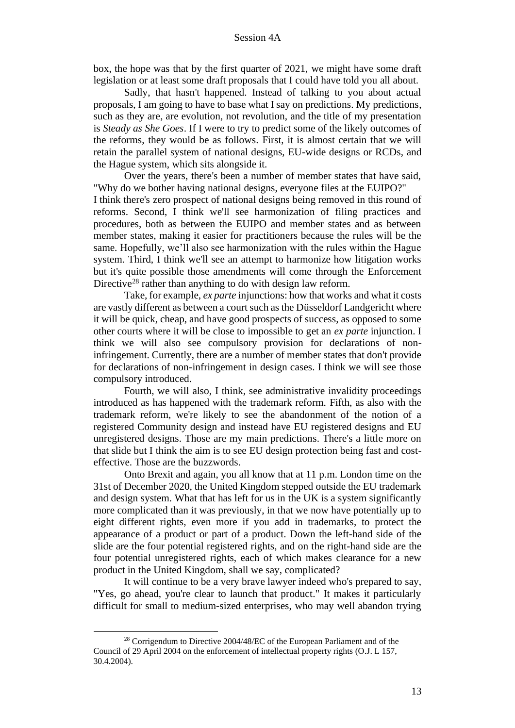box, the hope was that by the first quarter of 2021, we might have some draft legislation or at least some draft proposals that I could have told you all about.

Sadly, that hasn't happened. Instead of talking to you about actual proposals, I am going to have to base what I say on predictions. My predictions, such as they are, are evolution, not revolution, and the title of my presentation is *Steady as She Goes*. If I were to try to predict some of the likely outcomes of the reforms, they would be as follows. First, it is almost certain that we will retain the parallel system of national designs, EU-wide designs or RCDs, and the Hague system, which sits alongside it.

Over the years, there's been a number of member states that have said, "Why do we bother having national designs, everyone files at the EUIPO?" I think there's zero prospect of national designs being removed in this round of reforms. Second, I think we'll see harmonization of filing practices and procedures, both as between the EUIPO and member states and as between member states, making it easier for practitioners because the rules will be the same. Hopefully, we'll also see harmonization with the rules within the Hague system. Third, I think we'll see an attempt to harmonize how litigation works but it's quite possible those amendments will come through the Enforcement Directive<sup>28</sup> rather than anything to do with design law reform.

Take, for example, *ex parte* injunctions: how that works and what it costs are vastly different as between a court such as the Düsseldorf Landgericht where it will be quick, cheap, and have good prospects of success, as opposed to some other courts where it will be close to impossible to get an *ex parte* injunction. I think we will also see compulsory provision for declarations of noninfringement. Currently, there are a number of member states that don't provide for declarations of non-infringement in design cases. I think we will see those compulsory introduced.

Fourth, we will also, I think, see administrative invalidity proceedings introduced as has happened with the trademark reform. Fifth, as also with the trademark reform, we're likely to see the abandonment of the notion of a registered Community design and instead have EU registered designs and EU unregistered designs. Those are my main predictions. There's a little more on that slide but I think the aim is to see EU design protection being fast and costeffective. Those are the buzzwords.

Onto Brexit and again, you all know that at 11 p.m. London time on the 31st of December 2020, the United Kingdom stepped outside the EU trademark and design system. What that has left for us in the UK is a system significantly more complicated than it was previously, in that we now have potentially up to eight different rights, even more if you add in trademarks, to protect the appearance of a product or part of a product. Down the left-hand side of the slide are the four potential registered rights, and on the right-hand side are the four potential unregistered rights, each of which makes clearance for a new product in the United Kingdom, shall we say, complicated?

It will continue to be a very brave lawyer indeed who's prepared to say, "Yes, go ahead, you're clear to launch that product." It makes it particularly difficult for small to medium-sized enterprises, who may well abandon trying

<sup>&</sup>lt;sup>28</sup> Corrigendum to Directive 2004/48/EC of the European Parliament and of the Council of 29 April 2004 on the enforcement of intellectual property rights (O.J. L 157, 30.4.2004).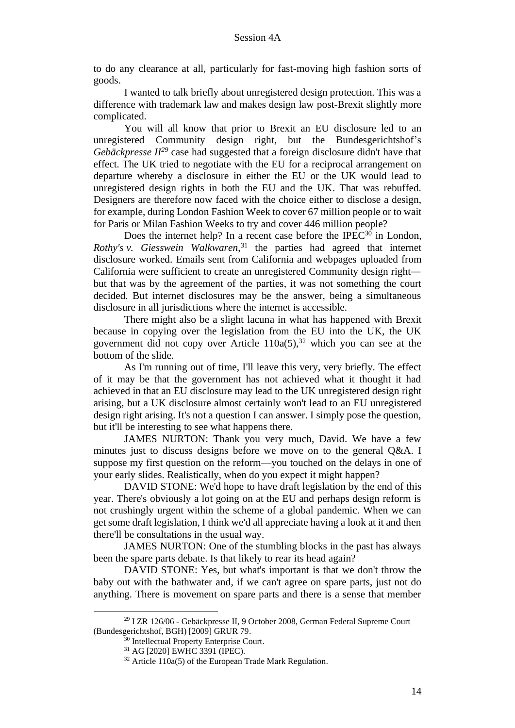to do any clearance at all, particularly for fast-moving high fashion sorts of goods.

I wanted to talk briefly about unregistered design protection. This was a difference with trademark law and makes design law post-Brexit slightly more complicated.

You will all know that prior to Brexit an EU disclosure led to an unregistered Community design right, but the Bundesgerichtshof's *Gebäckpresse II<sup>29</sup>* case had suggested that a foreign disclosure didn't have that effect. The UK tried to negotiate with the EU for a reciprocal arrangement on departure whereby a disclosure in either the EU or the UK would lead to unregistered design rights in both the EU and the UK. That was rebuffed. Designers are therefore now faced with the choice either to disclose a design, for example, during London Fashion Week to cover 67 million people or to wait for Paris or Milan Fashion Weeks to try and cover 446 million people?

Does the internet help? In a recent case before the IPEC $30$  in London, *Rothy's v. Giesswein Walkwaren*, <sup>31</sup> the parties had agreed that internet disclosure worked. Emails sent from California and webpages uploaded from California were sufficient to create an unregistered Community design right but that was by the agreement of the parties, it was not something the court decided. But internet disclosures may be the answer, being a simultaneous disclosure in all jurisdictions where the internet is accessible.

There might also be a slight lacuna in what has happened with Brexit because in copying over the legislation from the EU into the UK, the UK government did not copy over Article  $110a(5)$ ,<sup>32</sup> which you can see at the bottom of the slide.

As I'm running out of time, I'll leave this very, very briefly. The effect of it may be that the government has not achieved what it thought it had achieved in that an EU disclosure may lead to the UK unregistered design right arising, but a UK disclosure almost certainly won't lead to an EU unregistered design right arising. It's not a question I can answer. I simply pose the question, but it'll be interesting to see what happens there.

JAMES NURTON: Thank you very much, David. We have a few minutes just to discuss designs before we move on to the general Q&A. I suppose my first question on the reform—you touched on the delays in one of your early slides. Realistically, when do you expect it might happen?

DAVID STONE: We'd hope to have draft legislation by the end of this year. There's obviously a lot going on at the EU and perhaps design reform is not crushingly urgent within the scheme of a global pandemic. When we can get some draft legislation, I think we'd all appreciate having a look at it and then there'll be consultations in the usual way.

JAMES NURTON: One of the stumbling blocks in the past has always been the spare parts debate. Is that likely to rear its head again?

DAVID STONE: Yes, but what's important is that we don't throw the baby out with the bathwater and, if we can't agree on spare parts, just not do anything. There is movement on spare parts and there is a sense that member

<sup>29</sup> I ZR 126/06 - Gebäckpresse II, 9 October 2008, German Federal Supreme Court (Bundesgerichtshof, BGH) [2009] GRUR 79.

<sup>&</sup>lt;sup>30</sup> Intellectual Property Enterprise Court.

<sup>31</sup> AG [2020] EWHC 3391 (IPEC).

 $32$  Article 110a(5) of the European Trade Mark Regulation.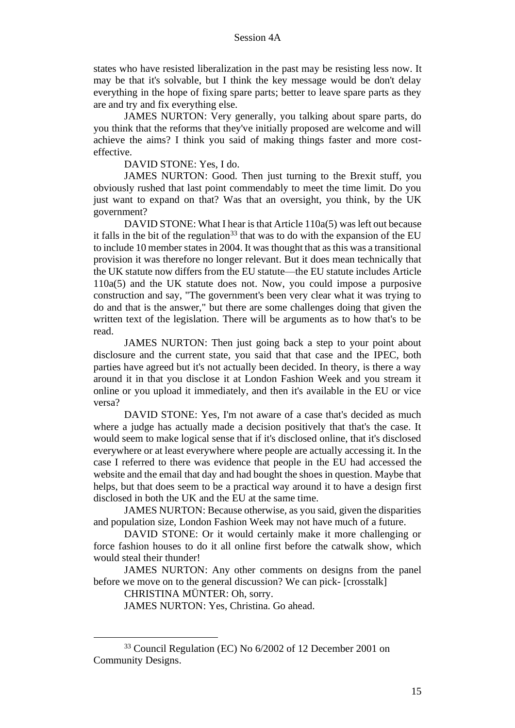states who have resisted liberalization in the past may be resisting less now. It may be that it's solvable, but I think the key message would be don't delay everything in the hope of fixing spare parts; better to leave spare parts as they are and try and fix everything else.

JAMES NURTON: Very generally, you talking about spare parts, do you think that the reforms that they've initially proposed are welcome and will achieve the aims? I think you said of making things faster and more costeffective.

DAVID STONE: Yes, I do.

JAMES NURTON: Good. Then just turning to the Brexit stuff, you obviously rushed that last point commendably to meet the time limit. Do you just want to expand on that? Was that an oversight, you think, by the UK government?

DAVID STONE: What I hear is that Article 110a(5) was left out because it falls in the bit of the regulation<sup>33</sup> that was to do with the expansion of the EU to include 10 member states in 2004. It was thought that as this was a transitional provision it was therefore no longer relevant. But it does mean technically that the UK statute now differs from the EU statute—the EU statute includes Article 110a(5) and the UK statute does not. Now, you could impose a purposive construction and say, "The government's been very clear what it was trying to do and that is the answer," but there are some challenges doing that given the written text of the legislation. There will be arguments as to how that's to be read.

JAMES NURTON: Then just going back a step to your point about disclosure and the current state, you said that that case and the IPEC, both parties have agreed but it's not actually been decided. In theory, is there a way around it in that you disclose it at London Fashion Week and you stream it online or you upload it immediately, and then it's available in the EU or vice versa?

DAVID STONE: Yes, I'm not aware of a case that's decided as much where a judge has actually made a decision positively that that's the case. It would seem to make logical sense that if it's disclosed online, that it's disclosed everywhere or at least everywhere where people are actually accessing it. In the case I referred to there was evidence that people in the EU had accessed the website and the email that day and had bought the shoes in question. Maybe that helps, but that does seem to be a practical way around it to have a design first disclosed in both the UK and the EU at the same time.

JAMES NURTON: Because otherwise, as you said, given the disparities and population size, London Fashion Week may not have much of a future.

DAVID STONE: Or it would certainly make it more challenging or force fashion houses to do it all online first before the catwalk show, which would steal their thunder!

JAMES NURTON: Any other comments on designs from the panel before we move on to the general discussion? We can pick- [crosstalk]

CHRISTINA MÜNTER: Oh, sorry.

JAMES NURTON: Yes, Christina. Go ahead.

<sup>33</sup> Council Regulation (EC) No 6/2002 of 12 December 2001 on Community Designs.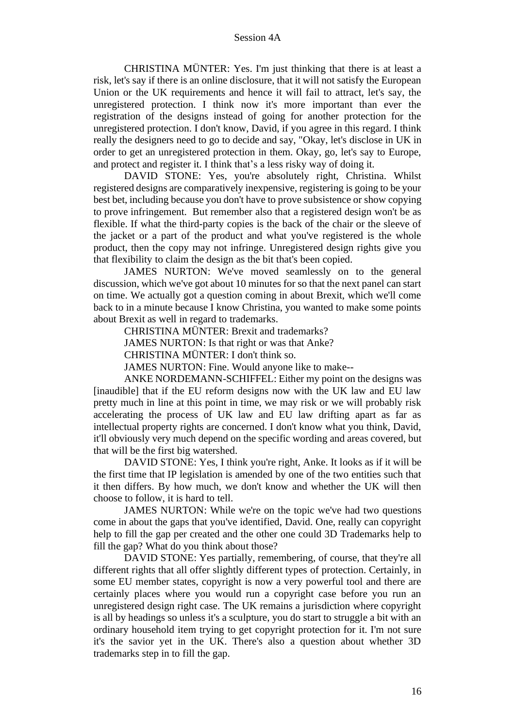CHRISTINA MÜNTER: Yes. I'm just thinking that there is at least a risk, let's say if there is an online disclosure, that it will not satisfy the European Union or the UK requirements and hence it will fail to attract, let's say, the unregistered protection. I think now it's more important than ever the registration of the designs instead of going for another protection for the unregistered protection. I don't know, David, if you agree in this regard. I think really the designers need to go to decide and say, "Okay, let's disclose in UK in order to get an unregistered protection in them. Okay, go, let's say to Europe, and protect and register it. I think that's a less risky way of doing it.

DAVID STONE: Yes, you're absolutely right, Christina. Whilst registered designs are comparatively inexpensive, registering is going to be your best bet, including because you don't have to prove subsistence or show copying to prove infringement. But remember also that a registered design won't be as flexible. If what the third-party copies is the back of the chair or the sleeve of the jacket or a part of the product and what you've registered is the whole product, then the copy may not infringe. Unregistered design rights give you that flexibility to claim the design as the bit that's been copied.

JAMES NURTON: We've moved seamlessly on to the general discussion, which we've got about 10 minutes for so that the next panel can start on time. We actually got a question coming in about Brexit, which we'll come back to in a minute because I know Christina, you wanted to make some points about Brexit as well in regard to trademarks.

CHRISTINA MÜNTER: Brexit and trademarks?

JAMES NURTON: Is that right or was that Anke?

CHRISTINA MÜNTER: I don't think so.

JAMES NURTON: Fine. Would anyone like to make--

ANKE NORDEMANN-SCHIFFEL: Either my point on the designs was [inaudible] that if the EU reform designs now with the UK law and EU law pretty much in line at this point in time, we may risk or we will probably risk accelerating the process of UK law and EU law drifting apart as far as intellectual property rights are concerned. I don't know what you think, David, it'll obviously very much depend on the specific wording and areas covered, but that will be the first big watershed.

DAVID STONE: Yes, I think you're right, Anke. It looks as if it will be the first time that IP legislation is amended by one of the two entities such that it then differs. By how much, we don't know and whether the UK will then choose to follow, it is hard to tell.

JAMES NURTON: While we're on the topic we've had two questions come in about the gaps that you've identified, David. One, really can copyright help to fill the gap per created and the other one could 3D Trademarks help to fill the gap? What do you think about those?

DAVID STONE: Yes partially, remembering, of course, that they're all different rights that all offer slightly different types of protection. Certainly, in some EU member states, copyright is now a very powerful tool and there are certainly places where you would run a copyright case before you run an unregistered design right case. The UK remains a jurisdiction where copyright is all by headings so unless it's a sculpture, you do start to struggle a bit with an ordinary household item trying to get copyright protection for it. I'm not sure it's the savior yet in the UK. There's also a question about whether 3D trademarks step in to fill the gap.

16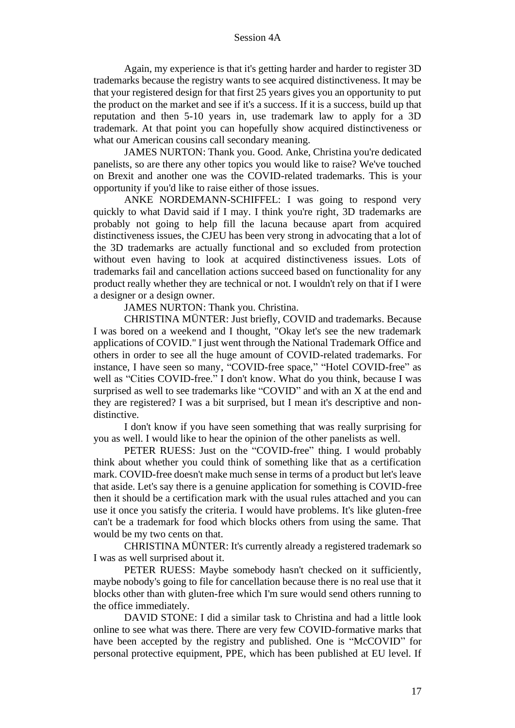Again, my experience is that it's getting harder and harder to register 3D trademarks because the registry wants to see acquired distinctiveness. It may be that your registered design for that first 25 years gives you an opportunity to put the product on the market and see if it's a success. If it is a success, build up that reputation and then 5-10 years in, use trademark law to apply for a 3D trademark. At that point you can hopefully show acquired distinctiveness or what our American cousins call secondary meaning.

JAMES NURTON: Thank you. Good. Anke, Christina you're dedicated panelists, so are there any other topics you would like to raise? We've touched on Brexit and another one was the COVID-related trademarks. This is your opportunity if you'd like to raise either of those issues.

ANKE NORDEMANN-SCHIFFEL: I was going to respond very quickly to what David said if I may. I think you're right, 3D trademarks are probably not going to help fill the lacuna because apart from acquired distinctiveness issues, the CJEU has been very strong in advocating that a lot of the 3D trademarks are actually functional and so excluded from protection without even having to look at acquired distinctiveness issues. Lots of trademarks fail and cancellation actions succeed based on functionality for any product really whether they are technical or not. I wouldn't rely on that if I were a designer or a design owner.

JAMES NURTON: Thank you. Christina.

CHRISTINA MÜNTER: Just briefly, COVID and trademarks. Because I was bored on a weekend and I thought, "Okay let's see the new trademark applications of COVID." I just went through the National Trademark Office and others in order to see all the huge amount of COVID-related trademarks. For instance, I have seen so many, "COVID-free space," "Hotel COVID-free" as well as "Cities COVID-free." I don't know. What do you think, because I was surprised as well to see trademarks like "COVID" and with an X at the end and they are registered? I was a bit surprised, but I mean it's descriptive and nondistinctive.

I don't know if you have seen something that was really surprising for you as well. I would like to hear the opinion of the other panelists as well.

PETER RUESS: Just on the "COVID-free" thing. I would probably think about whether you could think of something like that as a certification mark. COVID-free doesn't make much sense in terms of a product but let's leave that aside. Let's say there is a genuine application for something is COVID-free then it should be a certification mark with the usual rules attached and you can use it once you satisfy the criteria. I would have problems. It's like gluten-free can't be a trademark for food which blocks others from using the same. That would be my two cents on that.

CHRISTINA MÜNTER: It's currently already a registered trademark so I was as well surprised about it.

PETER RUESS: Maybe somebody hasn't checked on it sufficiently, maybe nobody's going to file for cancellation because there is no real use that it blocks other than with gluten-free which I'm sure would send others running to the office immediately.

DAVID STONE: I did a similar task to Christina and had a little look online to see what was there. There are very few COVID-formative marks that have been accepted by the registry and published. One is "McCOVID" for personal protective equipment, PPE, which has been published at EU level. If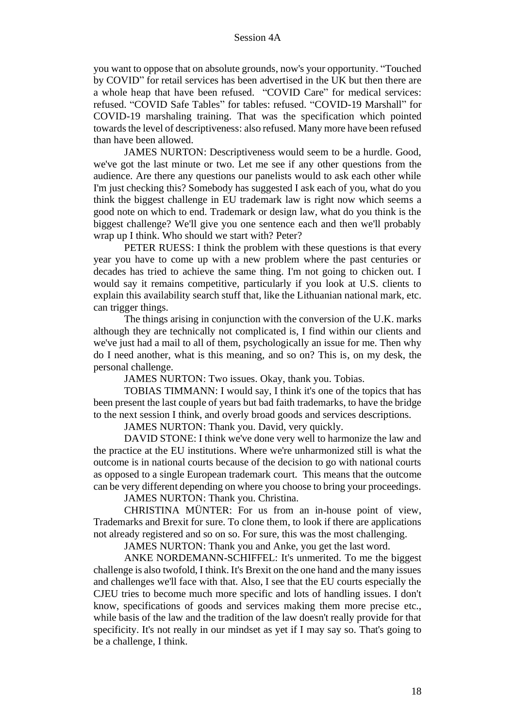you want to oppose that on absolute grounds, now's your opportunity. "Touched by COVID" for retail services has been advertised in the UK but then there are a whole heap that have been refused. "COVID Care" for medical services: refused. "COVID Safe Tables" for tables: refused. "COVID-19 Marshall" for COVID-19 marshaling training. That was the specification which pointed towards the level of descriptiveness: also refused. Many more have been refused than have been allowed.

JAMES NURTON: Descriptiveness would seem to be a hurdle. Good, we've got the last minute or two. Let me see if any other questions from the audience. Are there any questions our panelists would to ask each other while I'm just checking this? Somebody has suggested I ask each of you, what do you think the biggest challenge in EU trademark law is right now which seems a good note on which to end. Trademark or design law, what do you think is the biggest challenge? We'll give you one sentence each and then we'll probably wrap up I think. Who should we start with? Peter?

PETER RUESS: I think the problem with these questions is that every year you have to come up with a new problem where the past centuries or decades has tried to achieve the same thing. I'm not going to chicken out. I would say it remains competitive, particularly if you look at U.S. clients to explain this availability search stuff that, like the Lithuanian national mark, etc. can trigger things.

The things arising in conjunction with the conversion of the U.K. marks although they are technically not complicated is, I find within our clients and we've just had a mail to all of them, psychologically an issue for me. Then why do I need another, what is this meaning, and so on? This is, on my desk, the personal challenge.

JAMES NURTON: Two issues. Okay, thank you. Tobias.

TOBIAS TIMMANN: I would say, I think it's one of the topics that has been present the last couple of years but bad faith trademarks, to have the bridge to the next session I think, and overly broad goods and services descriptions.

JAMES NURTON: Thank you. David, very quickly.

DAVID STONE: I think we've done very well to harmonize the law and the practice at the EU institutions. Where we're unharmonized still is what the outcome is in national courts because of the decision to go with national courts as opposed to a single European trademark court. This means that the outcome can be very different depending on where you choose to bring your proceedings.

JAMES NURTON: Thank you. Christina.

CHRISTINA MÜNTER: For us from an in-house point of view, Trademarks and Brexit for sure. To clone them, to look if there are applications not already registered and so on so. For sure, this was the most challenging.

JAMES NURTON: Thank you and Anke, you get the last word.

ANKE NORDEMANN-SCHIFFEL: It's unmerited. To me the biggest challenge is also twofold, I think. It's Brexit on the one hand and the many issues and challenges we'll face with that. Also, I see that the EU courts especially the CJEU tries to become much more specific and lots of handling issues. I don't know, specifications of goods and services making them more precise etc., while basis of the law and the tradition of the law doesn't really provide for that specificity. It's not really in our mindset as yet if I may say so. That's going to be a challenge, I think.